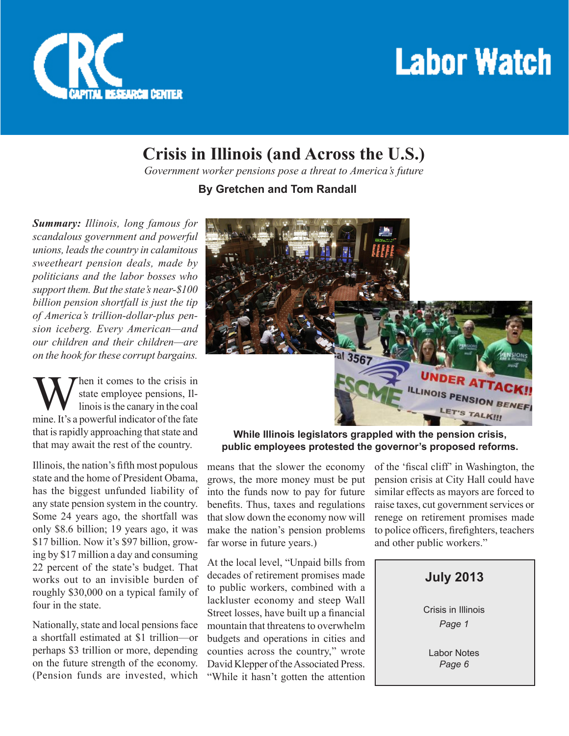

# **Labor Watch**

## **Crisis in Illinois (and Across the U.S.)**

*Government worker pensions pose a threat to America's future*

**By Gretchen and Tom Randall**

*Summary: Illinois, long famous for scandalous government and powerful unions, leads the country in calamitous sweetheart pension deals, made by politicians and the labor bosses who support them. But the state's near-\$100 billion pension shortfall is just the tip of America's trillion-dollar-plus pension iceberg. Every American—and our children and their children—are on the hook for these corrupt bargains.*

When it comes to the crisis in<br>
state employee pensions, Il-<br>
inois is the canary in the coal<br>
mine. It's a powerful indicator of the fate state employee pensions, Illinois is the canary in the coal that is rapidly approaching that state and that may await the rest of the country.

Illinois, the nation's fifth most populous state and the home of President Obama, has the biggest unfunded liability of any state pension system in the country. Some 24 years ago, the shortfall was only \$8.6 billion; 19 years ago, it was \$17 billion. Now it's \$97 billion, growing by \$17 million a day and consuming 22 percent of the state's budget. That works out to an invisible burden of roughly \$30,000 on a typical family of four in the state.

Nationally, state and local pensions face a shortfall estimated at \$1 trillion—or perhaps \$3 trillion or more, depending on the future strength of the economy. (Pension funds are invested, which



**While Illinois legislators grappled with the pension crisis, public employees protested the governor's proposed reforms.**

means that the slower the economy grows, the more money must be put into the funds now to pay for future benefits. Thus, taxes and regulations that slow down the economy now will make the nation's pension problems far worse in future years.)

At the local level, "Unpaid bills from decades of retirement promises made to public workers, combined with a lackluster economy and steep Wall Street losses, have built up a financial mountain that threatens to overwhelm budgets and operations in cities and counties across the country," wrote David Klepper of the Associated Press. "While it hasn't gotten the attention of the 'fiscal cliff' in Washington, the pension crisis at City Hall could have similar effects as mayors are forced to raise taxes, cut government services or renege on retirement promises made to police officers, firefighters, teachers and other public workers."

#### **July 2013**

Crisis in Illinois *Page 1*

Labor Notes *Page 6*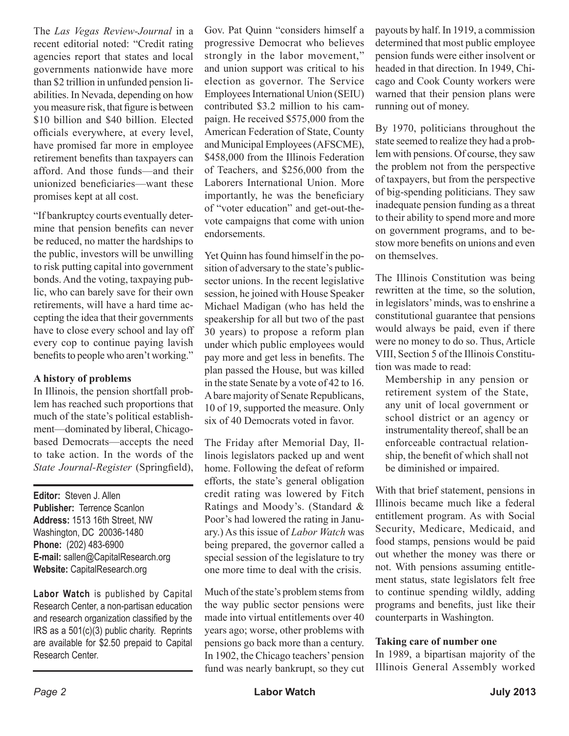The *Las Vegas Review-Journal* in a recent editorial noted: "Credit rating agencies report that states and local governments nationwide have more than \$2 trillion in unfunded pension liabilities. In Nevada, depending on how you measure risk, that figure is between \$10 billion and \$40 billion. Elected officials everywhere, at every level, have promised far more in employee retirement benefits than taxpayers can afford. And those funds—and their unionized beneficiaries—want these promises kept at all cost.

"If bankruptcy courts eventually determine that pension benefits can never be reduced, no matter the hardships to the public, investors will be unwilling to risk putting capital into government bonds. And the voting, taxpaying public, who can barely save for their own retirements, will have a hard time accepting the idea that their governments have to close every school and lay off every cop to continue paying lavish benefits to people who aren't working."

#### **A history of problems**

In Illinois, the pension shortfall problem has reached such proportions that much of the state's political establishment—dominated by liberal, Chicagobased Democrats—accepts the need to take action. In the words of the *State Journal-Register* (Springfield),

**Editor:** Steven J. Allen **Publisher:** Terrence Scanlon **Address:** 1513 16th Street, NW Washington, DC 20036-1480 **Phone:** (202) 483-6900 **E-mail:** sallen@CapitalResearch.org **Website:** CapitalResearch.org

**Labor Watch** is published by Capital Research Center, a non-partisan education and research organization classified by the IRS as a 501(c)(3) public charity. Reprints are available for \$2.50 prepaid to Capital Research Center.

Gov. Pat Quinn "considers himself a progressive Democrat who believes strongly in the labor movement," and union support was critical to his election as governor. The Service Employees International Union (SEIU) contributed \$3.2 million to his campaign. He received \$575,000 from the American Federation of State, County and Municipal Employees (AFSCME), \$458,000 from the Illinois Federation of Teachers, and \$256,000 from the Laborers International Union. More importantly, he was the beneficiary of "voter education" and get-out-thevote campaigns that come with union endorsements.

Yet Quinn has found himself in the position of adversary to the state's publicsector unions. In the recent legislative session, he joined with House Speaker Michael Madigan (who has held the speakership for all but two of the past 30 years) to propose a reform plan under which public employees would pay more and get less in benefits. The plan passed the House, but was killed in the state Senate by a vote of 42 to 16. A bare majority of Senate Republicans, 10 of 19, supported the measure. Only six of 40 Democrats voted in favor.

The Friday after Memorial Day, Illinois legislators packed up and went home. Following the defeat of reform efforts, the state's general obligation credit rating was lowered by Fitch Ratings and Moody's. (Standard & Poor's had lowered the rating in January.) As this issue of *Labor Watch* was being prepared, the governor called a special session of the legislature to try one more time to deal with the crisis.

Much of the state's problem stems from the way public sector pensions were made into virtual entitlements over 40 years ago; worse, other problems with pensions go back more than a century. In 1902, the Chicago teachers' pension fund was nearly bankrupt, so they cut

payouts by half. In 1919, a commission determined that most public employee pension funds were either insolvent or headed in that direction. In 1949, Chicago and Cook County workers were warned that their pension plans were running out of money.

By 1970, politicians throughout the state seemed to realize they had a problem with pensions. Of course, they saw the problem not from the perspective of taxpayers, but from the perspective of big-spending politicians. They saw inadequate pension funding as a threat to their ability to spend more and more on government programs, and to bestow more benefits on unions and even on themselves.

The Illinois Constitution was being rewritten at the time, so the solution, in legislators' minds, was to enshrine a constitutional guarantee that pensions would always be paid, even if there were no money to do so. Thus, Article VIII, Section 5 of the Illinois Constitution was made to read:

Membership in any pension or retirement system of the State, any unit of local government or school district or an agency or instrumentality thereof, shall be an enforceable contractual relationship, the benefit of which shall not be diminished or impaired.

With that brief statement, pensions in Illinois became much like a federal entitlement program. As with Social Security, Medicare, Medicaid, and food stamps, pensions would be paid out whether the money was there or not. With pensions assuming entitlement status, state legislators felt free to continue spending wildly, adding programs and benefits, just like their counterparts in Washington.

#### **Taking care of number one**

In 1989, a bipartisan majority of the Illinois General Assembly worked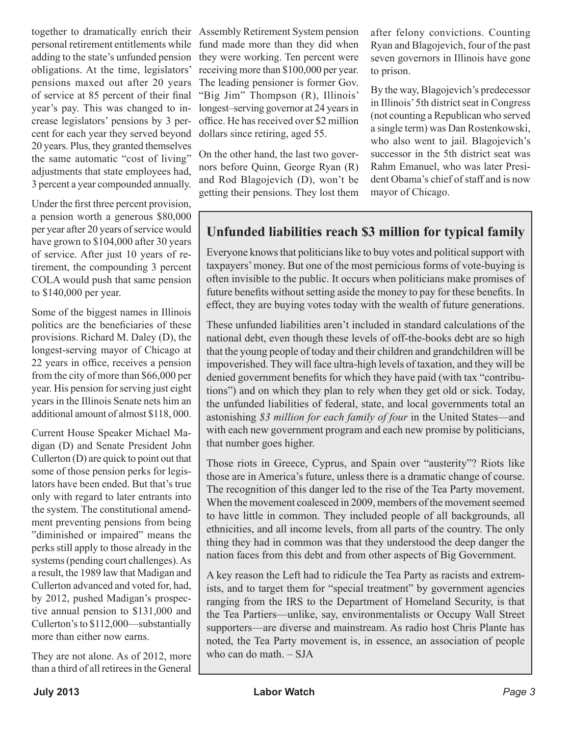obligations. At the time, legislators' pensions maxed out after 20 years of service at 85 percent of their final year's pay. This was changed to increase legislators' pensions by 3 percent for each year they served beyond 20 years. Plus, they granted themselves the same automatic "cost of living" adjustments that state employees had, 3 percent a year compounded annually.

Under the first three percent provision, a pension worth a generous \$80,000 per year after 20 years of service would have grown to \$104,000 after 30 years of service. After just 10 years of retirement, the compounding 3 percent COLA would push that same pension to \$140,000 per year.

Some of the biggest names in Illinois politics are the beneficiaries of these provisions. Richard M. Daley (D), the longest-serving mayor of Chicago at 22 years in office, receives a pension from the city of more than \$66,000 per year. His pension for serving just eight years in the Illinois Senate nets him an additional amount of almost \$118, 000.

Current House Speaker Michael Madigan (D) and Senate President John Cullerton (D) are quick to point out that some of those pension perks for legislators have been ended. But that's true only with regard to later entrants into the system. The constitutional amendment preventing pensions from being "diminished or impaired" means the perks still apply to those already in the systems (pending court challenges). As a result, the 1989 law that Madigan and Cullerton advanced and voted for, had, by 2012, pushed Madigan's prospective annual pension to \$131,000 and Cullerton's to \$112,000—substantially more than either now earns.

They are not alone. As of 2012, more than a third of all retirees in the General

together to dramatically enrich their Assembly Retirement System pension personal retirement entitlements while fund made more than they did when adding to the state's unfunded pension they were working. Ten percent were receiving more than \$100,000 per year. The leading pensioner is former Gov. "Big Jim" Thompson (R), Illinois' longest–serving governor at 24 years in office. He has received over \$2 million dollars since retiring, aged 55.

> On the other hand, the last two governors before Quinn, George Ryan (R) and Rod Blagojevich (D), won't be getting their pensions. They lost them

after felony convictions. Counting Ryan and Blagojevich, four of the past seven governors in Illinois have gone to prison.

By the way, Blagojevich's predecessor in Illinois' 5th district seat in Congress (not counting a Republican who served a single term) was Dan Rostenkowski, who also went to jail. Blagojevich's successor in the 5th district seat was Rahm Emanuel, who was later President Obama's chief of staff and is now mayor of Chicago.

### **Unfunded liabilities reach \$3 million for typical family**

Everyone knows that politicians like to buy votes and political support with taxpayers' money. But one of the most pernicious forms of vote-buying is often invisible to the public. It occurs when politicians make promises of future benefits without setting aside the money to pay for these benefits. In effect, they are buying votes today with the wealth of future generations.

These unfunded liabilities aren't included in standard calculations of the national debt, even though these levels of off-the-books debt are so high that the young people of today and their children and grandchildren will be impoverished. They will face ultra-high levels of taxation, and they will be denied government benefits for which they have paid (with tax "contributions") and on which they plan to rely when they get old or sick. Today, the unfunded liabilities of federal, state, and local governments total an astonishing *\$3 million for each family of four* in the United States—and with each new government program and each new promise by politicians, that number goes higher.

Those riots in Greece, Cyprus, and Spain over "austerity"? Riots like those are in America's future, unless there is a dramatic change of course. The recognition of this danger led to the rise of the Tea Party movement. When the movement coalesced in 2009, members of the movement seemed to have little in common. They included people of all backgrounds, all ethnicities, and all income levels, from all parts of the country. The only thing they had in common was that they understood the deep danger the nation faces from this debt and from other aspects of Big Government.

A key reason the Left had to ridicule the Tea Party as racists and extremists, and to target them for "special treatment" by government agencies ranging from the IRS to the Department of Homeland Security, is that the Tea Partiers—unlike, say, environmentalists or Occupy Wall Street supporters—are diverse and mainstream. As radio host Chris Plante has noted, the Tea Party movement is, in essence, an association of people who can do math. – SJA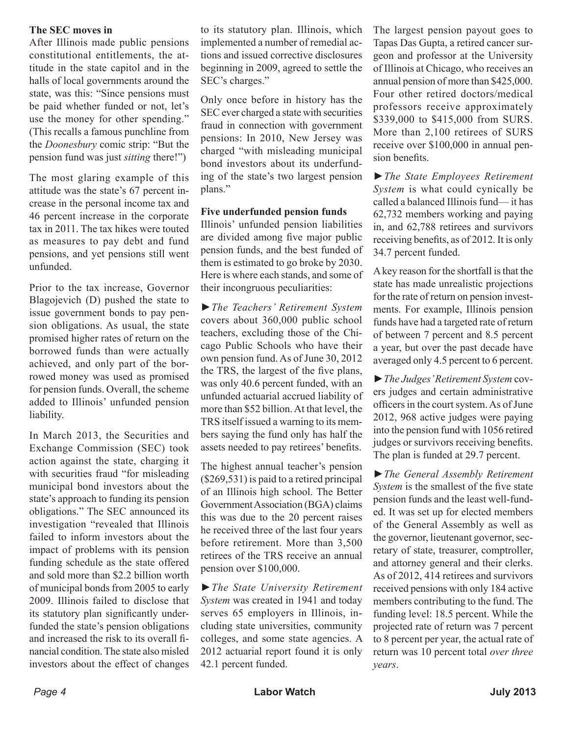#### **The SEC moves in**

After Illinois made public pensions constitutional entitlements, the attitude in the state capitol and in the halls of local governments around the state, was this: "Since pensions must be paid whether funded or not, let's use the money for other spending." (This recalls a famous punchline from the *Doonesbury* comic strip: "But the pension fund was just *sitting* there!")

The most glaring example of this attitude was the state's 67 percent increase in the personal income tax and 46 percent increase in the corporate tax in 2011. The tax hikes were touted as measures to pay debt and fund pensions, and yet pensions still went unfunded.

Prior to the tax increase, Governor Blagojevich (D) pushed the state to issue government bonds to pay pension obligations. As usual, the state promised higher rates of return on the borrowed funds than were actually achieved, and only part of the borrowed money was used as promised for pension funds. Overall, the scheme added to Illinois' unfunded pension liability.

In March 2013, the Securities and Exchange Commission (SEC) took action against the state, charging it with securities fraud "for misleading municipal bond investors about the state's approach to funding its pension obligations." The SEC announced its investigation "revealed that Illinois failed to inform investors about the impact of problems with its pension funding schedule as the state offered and sold more than \$2.2 billion worth of municipal bonds from 2005 to early 2009. Illinois failed to disclose that its statutory plan significantly underfunded the state's pension obligations and increased the risk to its overall financial condition. The state also misled investors about the effect of changes

to its statutory plan. Illinois, which implemented a number of remedial actions and issued corrective disclosures beginning in 2009, agreed to settle the SEC's charges."

Only once before in history has the SEC ever charged a state with securities fraud in connection with government pensions: In 2010, New Jersey was charged "with misleading municipal bond investors about its underfunding of the state's two largest pension plans."

#### **Five underfunded pension funds**

Illinois' unfunded pension liabilities are divided among five major public pension funds, and the best funded of them is estimated to go broke by 2030. Here is where each stands, and some of their incongruous peculiarities:

►*The Teachers' Retirement System*  covers about 360,000 public school teachers, excluding those of the Chicago Public Schools who have their own pension fund. As of June 30, 2012 the TRS, the largest of the five plans, was only 40.6 percent funded, with an unfunded actuarial accrued liability of more than \$52 billion. At that level, the TRS itself issued a warning to its members saying the fund only has half the assets needed to pay retirees' benefits.

The highest annual teacher's pension (\$269,531) is paid to a retired principal of an Illinois high school. The Better Government Association (BGA) claims this was due to the 20 percent raises he received three of the last four years before retirement. More than 3,500 retirees of the TRS receive an annual pension over \$100,000.

►*The State University Retirement System* was created in 1941 and today serves 65 employers in Illinois, including state universities, community colleges, and some state agencies. A 2012 actuarial report found it is only 42.1 percent funded.

The largest pension payout goes to Tapas Das Gupta, a retired cancer surgeon and professor at the University of Illinois at Chicago, who receives an annual pension of more than \$425,000. Four other retired doctors/medical professors receive approximately \$339,000 to \$415,000 from SURS. More than 2,100 retirees of SURS receive over \$100,000 in annual pension benefits.

►*The State Employees Retirement System* is what could cynically be called a balanced Illinois fund— it has 62,732 members working and paying in, and 62,788 retirees and survivors receiving benefits, as of 2012. It is only 34.7 percent funded.

A key reason for the shortfall is that the state has made unrealistic projections for the rate of return on pension investments. For example, Illinois pension funds have had a targeted rate of return of between 7 percent and 8.5 percent a year, but over the past decade have averaged only 4.5 percent to 6 percent.

►*The Judges' Retirement System* covers judges and certain administrative officers in the court system. As of June 2012, 968 active judges were paying into the pension fund with 1056 retired judges or survivors receiving benefits. The plan is funded at 29.7 percent.

►*The General Assembly Retirement System* is the smallest of the five state pension funds and the least well-funded. It was set up for elected members of the General Assembly as well as the governor, lieutenant governor, secretary of state, treasurer, comptroller, and attorney general and their clerks. As of 2012, 414 retirees and survivors received pensions with only 184 active members contributing to the fund. The funding level: 18.5 percent. While the projected rate of return was 7 percent to 8 percent per year, the actual rate of return was 10 percent total *over three years*.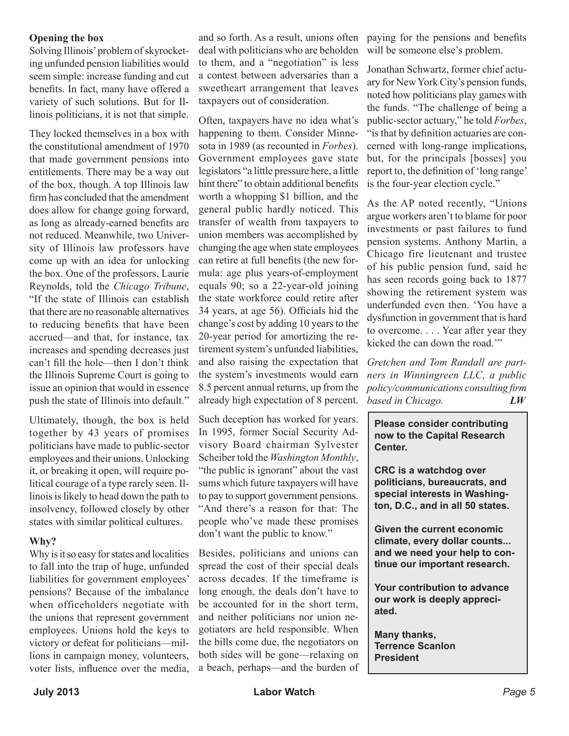#### **Opening the box**

Solving Illinois' problem of skyrocketing unfunded pension liabilities would seem simple: increase funding and cut benefits. In fact, many have offered a variety of such solutions. But for Illinois politicians, it is not that simple.

They locked themselves in a box with the constitutional amendment of 1970 that made government pensions into entitlements. There may be a way out of the box, though. A top Illinois law firm has concluded that the amendment does allow for change going forward, as long as already-earned benefits are not reduced. Meanwhile, two University of Illinois law professors have come up with an idea for unlocking the box. One of the professors, Laurie Reynolds, told the *Chicago Tribune*, "If the state of Illinois can establish that there are no reasonable alternatives to reducing benefits that have been accrued—and that, for instance, tax increases and spending decreases just can't fill the hole—then I don't think the Illinois Supreme Court is going to issue an opinion that would in essence push the state of Illinois into default."

Ultimately, though, the box is held together by 43 years of promises politicians have made to public-sector employees and their unions. Unlocking it, or breaking it open, will require political courage of a type rarely seen. Illinois is likely to head down the path to insolvency, followed closely by other states with similar political cultures.

#### **Why?**

Why is it so easy for states and localities to fall into the trap of huge, unfunded liabilities for government employees' pensions? Because of the imbalance when officeholders negotiate with the unions that represent government employees. Unions hold the keys to victory or defeat for politicians—millions in campaign money, volunteers, voter lists, influence over the media,

and so forth. As a result, unions often deal with politicians who are beholden to them, and a "negotiation" is less a contest between adversaries than a sweetheart arrangement that leaves taxpayers out of consideration.

Often, taxpayers have no idea what's happening to them. Consider Minnesota in 1989 (as recounted in *Forbes*). Government employees gave state legislators "a little pressure here, a little hint there" to obtain additional benefits worth a whopping \$1 billion, and the general public hardly noticed. This transfer of wealth from taxpayers to union members was accomplished by changing the age when state employees can retire at full benefits (the new formula: age plus years-of-employment equals 90; so a 22-year-old joining the state workforce could retire after 34 years, at age 56). Officials hid the change's cost by adding 10 years to the 20-year period for amortizing the retirement system's unfunded liabilities, and also raising the expectation that the system's investments would earn 8.5 percent annual returns, up from the already high expectation of 8 percent.

Such deception has worked for years. In 1995, former Social Security Advisory Board chairman Sylvester Scheiber told the *Washington Monthly*, "the public is ignorant" about the vast sums which future taxpayers will have to pay to support government pensions. "And there's a reason for that: The people who've made these promises don't want the public to know."

Besides, politicians and unions can spread the cost of their special deals across decades. If the timeframe is long enough, the deals don't have to be accounted for in the short term, and neither politicians nor union negotiators are held responsible. When the bills come due, the negotiators on both sides will be gone—relaxing on a beach, perhaps—and the burden of

paying for the pensions and benefits will be someone else's problem.

Jonathan Schwartz, former chief actuary for New York City's pension funds, noted how politicians play games with the funds. "The challenge of being a public-sector actuary," he told *Forbes*, "is that by definition actuaries are concerned with long-range implications, but, for the principals [bosses] you report to, the definition of 'long range' is the four-year election cycle."

As the AP noted recently, "Unions argue workers aren't to blame for poor investments or past failures to fund pension systems. Anthony Martin, a Chicago fire lieutenant and trustee of his public pension fund, said he has seen records going back to 1877 showing the retirement system was underfunded even then. 'You have a dysfunction in government that is hard to overcome. . . . Year after year they kicked the can down the road.'"

*Gretchen and Tom Randall are partners in Winningreen LLC, a public policy/communications consulting firm based in Chicago. LW*

**Please consider contributing now to the Capital Research Center.** 

**CRC is a watchdog over politicians, bureaucrats, and special interests in Washington, D.C., and in all 50 states.** 

**Given the current economic climate, every dollar counts... and we need your help to continue our important research.**

**Your contribution to advance our work is deeply appreciated.**

**Many thanks, Terrence Scanlon President**